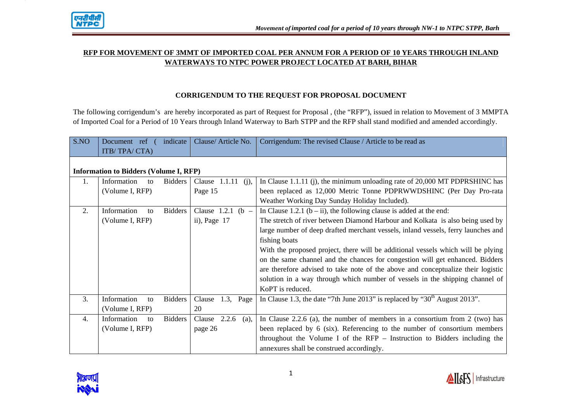

# **RFP FOR MOVEMENT OF 3MMT OF IMPORTED COAL PER ANNUM FOR A PERIOD OF 10 YEARS THROUGH INLAND WATERWAYS TO NTPC POWER PROJECT LOCATED AT BARH, BIHAR**

# **CORRIGENDUM TO THE REQUEST FOR PROPOSAL DOCUMENT**

The following corrigendum's are hereby incorporated as part of Request for Proposal , (the "RFP"), issued in relation to Movement of 3 MMPTA of Imported Coal for a Period of 10 Years through Inland Waterway to Barh STPP and the RFP shall stand modified and amended accordingly.

| S.NO | Document ref<br>ITB/TPA/CTA)                  | indicate       | Clause/Article No.         | Corrigendum: The revised Clause / Article to be read as                           |
|------|-----------------------------------------------|----------------|----------------------------|-----------------------------------------------------------------------------------|
|      | <b>Information to Bidders (Volume I, RFP)</b> |                |                            |                                                                                   |
| 1.   | Information<br>to                             | <b>Bidders</b> | Clause $1.1.11$<br>$(i)$ , | In Clause 1.1.11 (j), the minimum unloading rate of $20,000$ MT PDPRSHINC has     |
|      | (Volume I, RFP)                               |                | Page 15                    | been replaced as 12,000 Metric Tonne PDPRWWDSHINC (Per Day Pro-rata               |
|      |                                               |                |                            | Weather Working Day Sunday Holiday Included).                                     |
| 2.   | Information<br>to                             | <b>Bidders</b> | Clause $1.2.1$<br>$(b -$   | In Clause 1.2.1 ( $b - ii$ ), the following clause is added at the end:           |
|      | (Volume I, RFP)                               |                | ii), Page $17$             | The stretch of river between Diamond Harbour and Kolkata is also being used by    |
|      |                                               |                |                            | large number of deep drafted merchant vessels, inland vessels, ferry launches and |
|      |                                               |                |                            | fishing boats                                                                     |
|      |                                               |                |                            | With the proposed project, there will be additional vessels which will be plying  |
|      |                                               |                |                            | on the same channel and the chances for congestion will get enhanced. Bidders     |
|      |                                               |                |                            | are therefore advised to take note of the above and conceptualize their logistic  |
|      |                                               |                |                            | solution in a way through which number of vessels in the shipping channel of      |
|      |                                               |                |                            | KoPT is reduced.                                                                  |
| 3.   | Information<br>to                             | <b>Bidders</b> | Clause<br>Page<br>1.3,     | In Clause 1.3, the date "7th June 2013" is replaced by " $30th$ August 2013".     |
|      | (Volume I, RFP)                               |                | 20                         |                                                                                   |
| 4.   | Information<br>10 <sup>2</sup>                | <b>Bidders</b> | 2.2.6<br>Clause<br>(a),    | In Clause 2.2.6 (a), the number of members in a consortium from 2 (two) has       |
|      | (Volume I, RFP)                               |                | page 26                    | been replaced by 6 (six). Referencing to the number of consortium members         |
|      |                                               |                |                            | throughout the Volume I of the RFP - Instruction to Bidders including the         |
|      |                                               |                |                            | annexures shall be construed accordingly.                                         |

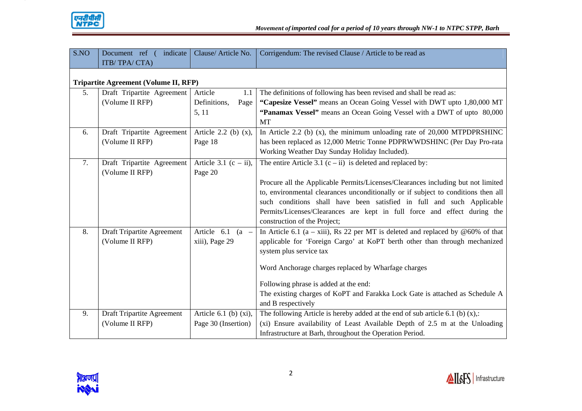

| S.NO | indicate<br>Document ref (            | Clause/Article No.         | Corrigendum: The revised Clause / Article to be read as                            |
|------|---------------------------------------|----------------------------|------------------------------------------------------------------------------------|
|      | ITB/TPA/CTA)                          |                            |                                                                                    |
|      |                                       |                            |                                                                                    |
|      | Tripartite Agreement (Volume II, RFP) |                            |                                                                                    |
| 5.   | Draft Tripartite Agreement            | Article<br>1.1             | The definitions of following has been revised and shall be read as:                |
|      | (Volume II RFP)                       | Definitions,<br>Page       | "Capesize Vessel" means an Ocean Going Vessel with DWT upto 1,80,000 MT            |
|      |                                       | 5, 11                      | "Panamax Vessel" means an Ocean Going Vessel with a DWT of upto 80,000             |
|      |                                       |                            | MT                                                                                 |
| 6.   | Draft Tripartite Agreement            | Article 2.2 (b) $(x)$ ,    | In Article 2.2 (b) $(x)$ , the minimum unloading rate of 20,000 MTPDPRSHINC        |
|      | (Volume II RFP)                       | Page 18                    | has been replaced as 12,000 Metric Tonne PDPRWWDSHINC (Per Day Pro-rata            |
|      |                                       |                            | Working Weather Day Sunday Holiday Included).                                      |
| 7.   | Draft Tripartite Agreement            | Article 3.1 $(c - ii)$ ,   | The entire Article 3.1 $(c - ii)$ is deleted and replaced by:                      |
|      | (Volume II RFP)                       | Page 20                    |                                                                                    |
|      |                                       |                            | Procure all the Applicable Permits/Licenses/Clearances including but not limited   |
|      |                                       |                            | to, environmental clearances unconditionally or if subject to conditions then all  |
|      |                                       |                            | such conditions shall have been satisfied in full and such Applicable              |
|      |                                       |                            | Permits/Licenses/Clearances are kept in full force and effect during the           |
|      |                                       |                            | construction of the Project;                                                       |
| 8.   | Draft Tripartite Agreement            | Article $6.1$ (a -         | In Article 6.1 (a – xiii), Rs 22 per MT is deleted and replaced by $@60\%$ of that |
|      | (Volume II RFP)                       | xiii), Page 29             | applicable for 'Foreign Cargo' at KoPT berth other than through mechanized         |
|      |                                       |                            | system plus service tax                                                            |
|      |                                       |                            |                                                                                    |
|      |                                       |                            | Word Anchorage charges replaced by Wharfage charges                                |
|      |                                       |                            | Following phrase is added at the end:                                              |
|      |                                       |                            | The existing charges of KoPT and Farakka Lock Gate is attached as Schedule A       |
|      |                                       |                            | and B respectively                                                                 |
| 9.   | Draft Tripartite Agreement            | Article $6.1$ (b) $(xi)$ , | The following Article is hereby added at the end of sub article 6.1 (b) $(x)$ .    |
|      | (Volume II RFP)                       | Page 30 (Insertion)        | (xi) Ensure availability of Least Available Depth of 2.5 m at the Unloading        |
|      |                                       |                            | Infrastructure at Barh, throughout the Operation Period.                           |

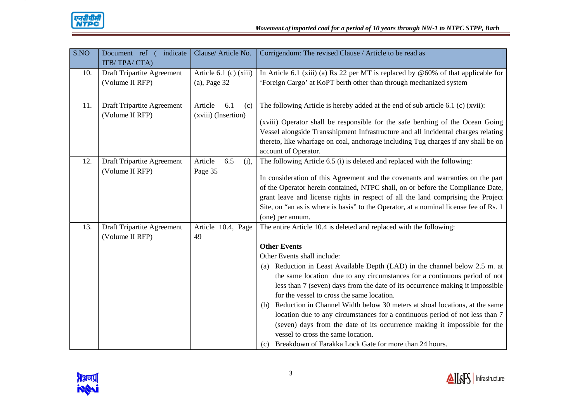

| S.NO | indicate<br>Document ref (        | Clause/ Article No.      | Corrigendum: The revised Clause / Article to be read as                               |
|------|-----------------------------------|--------------------------|---------------------------------------------------------------------------------------|
|      | ITB/TPA/CTA)                      |                          |                                                                                       |
| 10.  | Draft Tripartite Agreement        | Article $6.1$ (c) (xiii) | In Article 6.1 (xiii) (a) Rs 22 per MT is replaced by $@60\%$ of that applicable for  |
|      | (Volume II RFP)                   | $(a)$ , Page 32          | 'Foreign Cargo' at KoPT berth other than through mechanized system                    |
|      |                                   |                          |                                                                                       |
| 11.  | Draft Tripartite Agreement        | Article<br>6.1<br>(c)    | The following Article is hereby added at the end of sub article 6.1 (c) (xvii):       |
|      | (Volume II RFP)                   | (xviii) (Insertion)      |                                                                                       |
|      |                                   |                          | (xviii) Operator shall be responsible for the safe berthing of the Ocean Going        |
|      |                                   |                          | Vessel alongside Transshipment Infrastructure and all incidental charges relating     |
|      |                                   |                          | thereto, like wharfage on coal, anchorage including Tug charges if any shall be on    |
|      |                                   |                          | account of Operator.                                                                  |
| 12.  | Draft Tripartite Agreement        | Article<br>6.5<br>(i),   | The following Article 6.5 (i) is deleted and replaced with the following:             |
|      | (Volume II RFP)                   | Page 35                  |                                                                                       |
|      |                                   |                          | In consideration of this Agreement and the covenants and warranties on the part       |
|      |                                   |                          | of the Operator herein contained, NTPC shall, on or before the Compliance Date,       |
|      |                                   |                          | grant leave and license rights in respect of all the land comprising the Project      |
|      |                                   |                          | Site, on "an as is where is basis" to the Operator, at a nominal license fee of Rs. 1 |
|      |                                   |                          | (one) per annum.                                                                      |
| 13.  | <b>Draft Tripartite Agreement</b> | Article 10.4, Page       | The entire Article 10.4 is deleted and replaced with the following:                   |
|      | (Volume II RFP)                   | 49                       |                                                                                       |
|      |                                   |                          | <b>Other Events</b>                                                                   |
|      |                                   |                          | Other Events shall include:                                                           |
|      |                                   |                          | Reduction in Least Available Depth (LAD) in the channel below 2.5 m. at<br>(a)        |
|      |                                   |                          | the same location due to any circumstances for a continuous period of not             |
|      |                                   |                          | less than 7 (seven) days from the date of its occurrence making it impossible         |
|      |                                   |                          | for the vessel to cross the same location.                                            |
|      |                                   |                          | (b) Reduction in Channel Width below 30 meters at shoal locations, at the same        |
|      |                                   |                          | location due to any circumstances for a continuous period of not less than 7          |
|      |                                   |                          | (seven) days from the date of its occurrence making it impossible for the             |
|      |                                   |                          | vessel to cross the same location.                                                    |
|      |                                   |                          | (c) Breakdown of Farakka Lock Gate for more than 24 hours.                            |

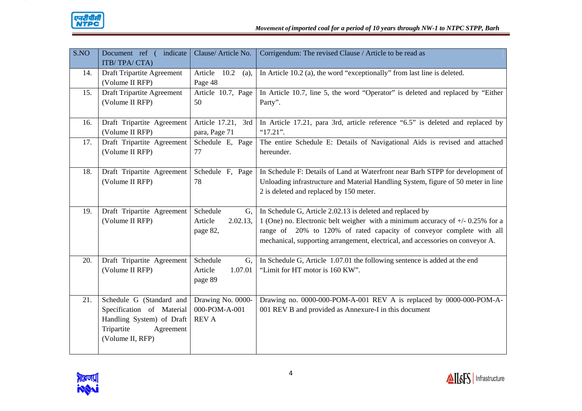

| S.NO | Document ref (<br>indicate<br>ITB/TPA/CTA)                                                                                        | Clause/ Article No.                                | Corrigendum: The revised Clause / Article to be read as                                                                                                                                                                                                                                                  |
|------|-----------------------------------------------------------------------------------------------------------------------------------|----------------------------------------------------|----------------------------------------------------------------------------------------------------------------------------------------------------------------------------------------------------------------------------------------------------------------------------------------------------------|
| 14.  | <b>Draft Tripartite Agreement</b><br>(Volume II RFP)                                                                              | Article 10.2<br>(a),<br>Page 48                    | In Article 10.2 (a), the word "exceptionally" from last line is deleted.                                                                                                                                                                                                                                 |
| 15.  | <b>Draft Tripartite Agreement</b><br>(Volume II RFP)                                                                              | Article 10.7, Page<br>50                           | In Article 10.7, line 5, the word "Operator" is deleted and replaced by "Either<br>Party".                                                                                                                                                                                                               |
| 16.  | Draft Tripartite Agreement<br>(Volume II RFP)                                                                                     | Article 17.21, 3rd<br>para, Page 71                | In Article 17.21, para 3rd, article reference "6.5" is deleted and replaced by<br>"17.21".                                                                                                                                                                                                               |
| 17.  | Draft Tripartite Agreement<br>(Volume II RFP)                                                                                     | Schedule E, Page<br>77                             | The entire Schedule E: Details of Navigational Aids is revised and attached<br>hereunder.                                                                                                                                                                                                                |
| 18.  | Draft Tripartite Agreement<br>(Volume II RFP)                                                                                     | Schedule F, Page<br>78                             | In Schedule F: Details of Land at Waterfront near Barh STPP for development of<br>Unloading infrastructure and Material Handling System, figure of 50 meter in line<br>2 is deleted and replaced by 150 meter.                                                                                           |
| 19.  | Draft Tripartite Agreement<br>(Volume II RFP)                                                                                     | Schedule<br>G,<br>Article<br>2.02.13,<br>page 82,  | In Schedule G, Article 2.02.13 is deleted and replaced by<br>1 (One) no. Electronic belt weigher with a minimum accuracy of $+/- 0.25\%$ for a<br>range of 20% to 120% of rated capacity of conveyor complete with all<br>mechanical, supporting arrangement, electrical, and accessories on conveyor A. |
| 20.  | Draft Tripartite Agreement<br>(Volume II RFP)                                                                                     | Schedule<br>G,<br>Article<br>1.07.01<br>page 89    | In Schedule G, Article 1.07.01 the following sentence is added at the end<br>"Limit for HT motor is 160 KW".                                                                                                                                                                                             |
| 21.  | Schedule G (Standard and<br>Specification of Material<br>Handling System) of Draft<br>Tripartite<br>Agreement<br>(Volume II, RFP) | Drawing No. 0000-<br>000-POM-A-001<br><b>REV A</b> | Drawing no. 0000-000-POM-A-001 REV A is replaced by 0000-000-POM-A-<br>001 REV B and provided as Annexure-I in this document                                                                                                                                                                             |

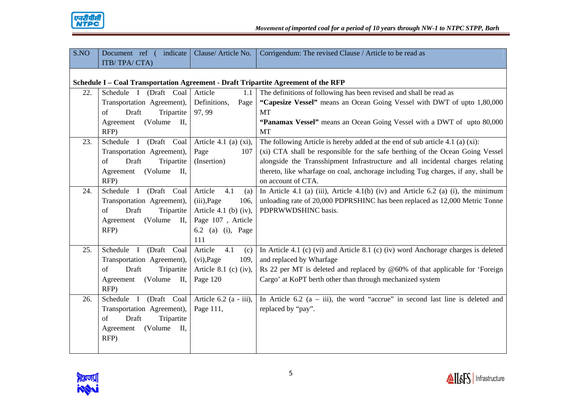

| S.NO | Document ref (<br>indicate                                                         | Clause/Article No.       | Corrigendum: The revised Clause / Article to be read as                            |
|------|------------------------------------------------------------------------------------|--------------------------|------------------------------------------------------------------------------------|
|      | ITB/TPA/CTA)                                                                       |                          |                                                                                    |
|      |                                                                                    |                          |                                                                                    |
|      | Schedule I – Coal Transportation Agreement - Draft Tripartite Agreement of the RFP |                          |                                                                                    |
| 22.  | Schedule I (Draft Coal                                                             | Article<br>1.1           | The definitions of following has been revised and shall be read as                 |
|      | Transportation Agreement),                                                         | Definitions,<br>Page     | "Capesize Vessel" means an Ocean Going Vessel with DWT of upto 1,80,000            |
|      | Draft<br>of<br>Tripartite                                                          | 97, 99                   | <b>MT</b>                                                                          |
|      | (Volume)<br>$\mathbf{II}$ ,<br>Agreement                                           |                          | "Panamax Vessel" means an Ocean Going Vessel with a DWT of upto 80,000             |
|      | RFP)                                                                               |                          | <b>MT</b>                                                                          |
| 23.  | Schedule I (Draft Coal                                                             | Article 4.1 (a) $(xi)$ , | The following Article is hereby added at the end of sub article 4.1 (a) $(xi)$ :   |
|      | Transportation Agreement),                                                         | Page<br>107              | (xi) CTA shall be responsible for the safe berthing of the Ocean Going Vessel      |
|      | of<br>Draft<br>Tripartite                                                          | (Insertion)              | alongside the Transshipment Infrastructure and all incidental charges relating     |
|      | (Volume)<br>П,<br>Agreement                                                        |                          | thereto, like wharfage on coal, anchorage including Tug charges, if any, shall be  |
|      | RFP)                                                                               |                          | on account of CTA.                                                                 |
| 24.  | Schedule I (Draft Coal                                                             | Article<br>4.1<br>(a)    | In Article 4.1 (a) (iii), Article 4.1(b) (iv) and Article 6.2 (a) (i), the minimum |
|      | Transportation Agreement),                                                         | (iii), Page<br>106,      | unloading rate of 20,000 PDPRSHINC has been replaced as 12,000 Metric Tonne        |
|      | Draft<br>Tripartite<br>of                                                          | Article 4.1 (b) (iv),    | PDPRWWDSHINC basis.                                                                |
|      | (Volume)<br>$\text{II}, \mid$<br>Agreement                                         | Page 107, Article        |                                                                                    |
|      | RFP)                                                                               | 6.2 (a) (i), Page        |                                                                                    |
|      |                                                                                    | 111                      |                                                                                    |
| 25.  | Schedule I (Draft Coal                                                             | Article<br>4.1<br>(c)    | In Article 4.1 (c) (vi) and Article 8.1 (c) (iv) word Anchorage charges is deleted |
|      | Transportation Agreement),                                                         | $(vi)$ , Page<br>109,    | and replaced by Wharfage                                                           |
|      | Draft<br>Tripartite<br>of                                                          | Article 8.1 (c) (iv),    | Rs 22 per MT is deleted and replaced by $@60\%$ of that applicable for 'Foreign    |
|      | (Volume)<br>Agreement<br>$\mathbf{II}$ ,                                           | Page 120                 | Cargo' at KoPT berth other than through mechanized system                          |
|      | RFP)                                                                               |                          |                                                                                    |
| 26.  | Schedule I (Draft Coal                                                             | Article $6.2$ (a - iii), | In Article 6.2 $(a - iii)$ , the word "accrue" in second last line is deleted and  |
|      | Transportation Agreement),                                                         | Page 111,                | replaced by "pay".                                                                 |
|      | Draft<br>Tripartite<br>of                                                          |                          |                                                                                    |
|      | (Volume)<br>Ш,<br>Agreement                                                        |                          |                                                                                    |
|      | RFP)                                                                               |                          |                                                                                    |
|      |                                                                                    |                          |                                                                                    |

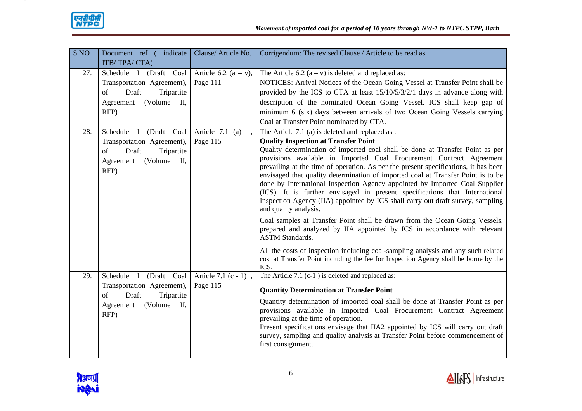

| S.NO | Document ref (indicate                   | Clause/ Article No.     | Corrigendum: The revised Clause / Article to be read as                                                                                                         |
|------|------------------------------------------|-------------------------|-----------------------------------------------------------------------------------------------------------------------------------------------------------------|
|      | ITB/TPA/CTA)                             |                         |                                                                                                                                                                 |
| 27.  | Schedule I (Draft Coal                   | Article 6.2 $(a - v)$ , | The Article 6.2 $(a - v)$ is deleted and replaced as:                                                                                                           |
|      | Transportation Agreement),               | Page 111                | NOTICES: Arrival Notices of the Ocean Going Vessel at Transfer Point shall be                                                                                   |
|      | Draft<br>Tripartite<br>of                |                         | provided by the ICS to CTA at least 15/10/5/3/2/1 days in advance along with                                                                                    |
|      | (Volume)<br>Ш,<br>Agreement              |                         | description of the nominated Ocean Going Vessel. ICS shall keep gap of                                                                                          |
|      | RFP)                                     |                         | minimum 6 (six) days between arrivals of two Ocean Going Vessels carrying                                                                                       |
|      |                                          |                         | Coal at Transfer Point nominated by CTA.                                                                                                                        |
| 28.  | Schedule I (Draft Coal                   | Article 7.1 (a)         | The Article 7.1 (a) is deleted and replaced as :                                                                                                                |
|      | Transportation Agreement),               | Page 115                | <b>Quality Inspection at Transfer Point</b>                                                                                                                     |
|      | Draft<br>Tripartite<br>of                |                         | Quality determination of imported coal shall be done at Transfer Point as per                                                                                   |
|      | (Volume)<br>$\mathbf{II}$ ,<br>Agreement |                         | provisions available in Imported Coal Procurement Contract Agreement                                                                                            |
|      | RFP)                                     |                         | prevailing at the time of operation. As per the present specifications, it has been                                                                             |
|      |                                          |                         | envisaged that quality determination of imported coal at Transfer Point is to be<br>done by International Inspection Agency appointed by Imported Coal Supplier |
|      |                                          |                         | (ICS). It is further envisaged in present specifications that International                                                                                     |
|      |                                          |                         | Inspection Agency (IIA) appointed by ICS shall carry out draft survey, sampling                                                                                 |
|      |                                          |                         | and quality analysis.                                                                                                                                           |
|      |                                          |                         | Coal samples at Transfer Point shall be drawn from the Ocean Going Vessels,                                                                                     |
|      |                                          |                         | prepared and analyzed by IIA appointed by ICS in accordance with relevant                                                                                       |
|      |                                          |                         | <b>ASTM Standards.</b>                                                                                                                                          |
|      |                                          |                         | All the costs of inspection including coal-sampling analysis and any such related                                                                               |
|      |                                          |                         | cost at Transfer Point including the fee for Inspection Agency shall be borne by the                                                                            |
|      |                                          |                         | ICS.                                                                                                                                                            |
| 29.  | Schedule I (Draft Coal                   | Article 7.1 (c - 1),    | The Article 7.1 (c-1) is deleted and replaced as:                                                                                                               |
|      | Transportation Agreement),               | Page 115                | <b>Quantity Determination at Transfer Point</b>                                                                                                                 |
|      | Draft<br>Tripartite<br>of                |                         | Quantity determination of imported coal shall be done at Transfer Point as per                                                                                  |
|      | (Volume)<br>Agreement<br>П,              |                         | provisions available in Imported Coal Procurement Contract Agreement                                                                                            |
|      | RFP)                                     |                         | prevailing at the time of operation.                                                                                                                            |
|      |                                          |                         | Present specifications envisage that IIA2 appointed by ICS will carry out draft                                                                                 |
|      |                                          |                         | survey, sampling and quality analysis at Transfer Point before commencement of                                                                                  |
|      |                                          |                         | first consignment.                                                                                                                                              |
|      |                                          |                         |                                                                                                                                                                 |

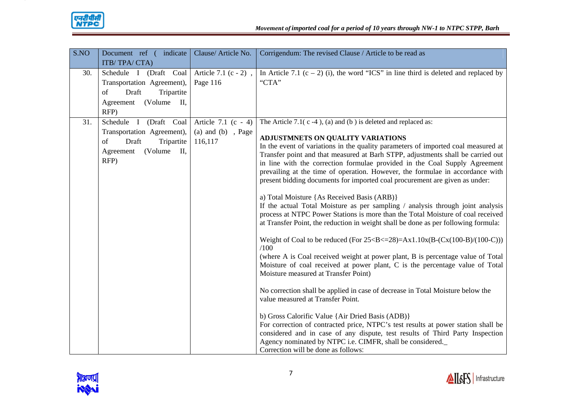

| S.NO | Document ref (indicate                                                                                                   | Clause/Article No.                                       | Corrigendum: The revised Clause / Article to be read as                                                                                                                                                                                                                                                                                                                                                                                                                                                                                                                                                                                                                                                                                                                                                                                                                                                                                                                                                                                                                                                                                                                                                                                                                                                                                                                                                                                                                                                                                                                                                |
|------|--------------------------------------------------------------------------------------------------------------------------|----------------------------------------------------------|--------------------------------------------------------------------------------------------------------------------------------------------------------------------------------------------------------------------------------------------------------------------------------------------------------------------------------------------------------------------------------------------------------------------------------------------------------------------------------------------------------------------------------------------------------------------------------------------------------------------------------------------------------------------------------------------------------------------------------------------------------------------------------------------------------------------------------------------------------------------------------------------------------------------------------------------------------------------------------------------------------------------------------------------------------------------------------------------------------------------------------------------------------------------------------------------------------------------------------------------------------------------------------------------------------------------------------------------------------------------------------------------------------------------------------------------------------------------------------------------------------------------------------------------------------------------------------------------------------|
|      | ITB/TPA/CTA)                                                                                                             |                                                          |                                                                                                                                                                                                                                                                                                                                                                                                                                                                                                                                                                                                                                                                                                                                                                                                                                                                                                                                                                                                                                                                                                                                                                                                                                                                                                                                                                                                                                                                                                                                                                                                        |
| 30.  | Schedule I (Draft Coal<br>Transportation Agreement),<br>Draft<br>Tripartite<br>of<br>(Volume II,<br>Agreement<br>RFP)    | Article 7.1 (c - 2),<br>Page 116                         | In Article 7.1 (c – 2) (i), the word "ICS" in line third is deleted and replaced by<br>"CTA"                                                                                                                                                                                                                                                                                                                                                                                                                                                                                                                                                                                                                                                                                                                                                                                                                                                                                                                                                                                                                                                                                                                                                                                                                                                                                                                                                                                                                                                                                                           |
| 31.  | Schedule I (Draft Coal<br>Transportation Agreement),<br>Tripartite<br>of<br>Draft<br>(Volume)<br>Ш,<br>Agreement<br>RFP) | Article 7.1 (c - 4)<br>$(a)$ and $(b)$ , Page<br>116,117 | The Article 7.1( $c - 4$ ), (a) and (b) is deleted and replaced as:<br>ADJUSTMNETS ON QUALITY VARIATIONS<br>In the event of variations in the quality parameters of imported coal measured at<br>Transfer point and that measured at Barh STPP, adjustments shall be carried out<br>in line with the correction formulae provided in the Coal Supply Agreement<br>prevailing at the time of operation. However, the formulae in accordance with<br>present bidding documents for imported coal procurement are given as under:<br>a) Total Moisture {As Received Basis (ARB)}<br>If the actual Total Moisture as per sampling / analysis through joint analysis<br>process at NTPC Power Stations is more than the Total Moisture of coal received<br>at Transfer Point, the reduction in weight shall be done as per following formula:<br>Weight of Coal to be reduced (For $25 < B < = 28$ )=Ax1.10x(B-(Cx(100-B)/(100-C)))<br>/100<br>(where A is Coal received weight at power plant, B is percentage value of Total<br>Moisture of coal received at power plant, C is the percentage value of Total<br>Moisture measured at Transfer Point)<br>No correction shall be applied in case of decrease in Total Moisture below the<br>value measured at Transfer Point.<br>b) Gross Calorific Value {Air Dried Basis (ADB)}<br>For correction of contracted price, NTPC's test results at power station shall be<br>considered and in case of any dispute, test results of Third Party Inspection<br>Agency nominated by NTPC i.e. CIMFR, shall be considered.<br>Correction will be done as follows: |

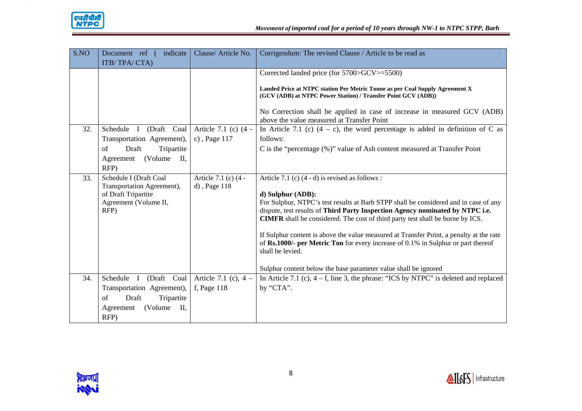

| S.NO | Document ref (<br>indicate<br>ITB/TPA/CTA)                                                                                  | Clause/Article No.                     | Corrigendum: The revised Clause / Article to be read as                                                                                                                                                                                                                                                                                                                                                                                                                                                                                                                                                        |
|------|-----------------------------------------------------------------------------------------------------------------------------|----------------------------------------|----------------------------------------------------------------------------------------------------------------------------------------------------------------------------------------------------------------------------------------------------------------------------------------------------------------------------------------------------------------------------------------------------------------------------------------------------------------------------------------------------------------------------------------------------------------------------------------------------------------|
| 32.  | Schedule<br>I (Draft Coal<br>Transportation Agreement),<br>Draft<br>Tripartite<br>of<br>(Volume)<br>П.<br>Agreement<br>RFP) | Article 7.1 (c) (4 -<br>c), Page $117$ | Corrected landed price (for 5700>GCV>=5500)<br>Landed Price at NTPC station Per Metric Tonne as per Coal Supply Agreement X<br>(GCV (ADB) at NTPC Power Station) / Transfer Point GCV (ADB))<br>No Correction shall be applied in case of increase in measured GCV (ADB)<br>above the value measured at Transfer Point<br>In Article 7.1 (c) $(4 - c)$ , the word percentage is added in definition of C as<br>follows:<br>C is the "percentage (%)" value of Ash content measured at Transfer Point                                                                                                           |
| 33.  | Schedule I (Draft Coal<br>Transportation Agreement),<br>of Draft Tripartite<br>Agreement (Volume II,<br>RFP)                | Article 7.1 (c) (4 -<br>d), Page 118   | Article 7.1 (c) $(4 - d)$ is revised as follows:<br>d) Sulphur (ADB):<br>For Sulphur, NTPC's test results at Barh STPP shall be considered and in case of any<br>dispute, test results of Third Party Inspection Agency nominated by NTPC i.e.<br><b>CIMFR</b> shall be considered. The cost of third party test shall be borne by ICS.<br>If Sulphur content is above the value measured at Transfer Point, a penalty at the rate<br>of Rs.1000/- per Metric Ton for every increase of 0.1% in Sulphur or part thereof<br>shall be levied.<br>Sulphur content below the base parameter value shall be ignored |
| 34.  | Schedule I<br>(Draft Coal<br>Transportation Agreement),<br>Draft<br>Tripartite<br>of<br>П,<br>(Volume)<br>Agreement<br>RFP) | Article 7.1 (c), $4 -$<br>f, Page 118  | In Article 7.1 (c), $4 - f$ , line 3, the phrase: "ICS by NTPC" is deleted and replaced<br>by "CTA".                                                                                                                                                                                                                                                                                                                                                                                                                                                                                                           |

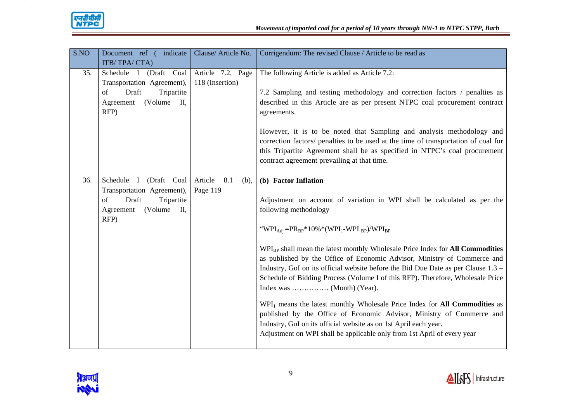

| S.NO | Document ref (indicate<br>ITB/TPA/CTA)                                                                                      | Clause/ Article No.                  | Corrigendum: The revised Clause / Article to be read as                                                                                                                                                                                                                                                                                                                                                                                                                                                                                                                                                                                                                                                                                                                                                                                                                                               |
|------|-----------------------------------------------------------------------------------------------------------------------------|--------------------------------------|-------------------------------------------------------------------------------------------------------------------------------------------------------------------------------------------------------------------------------------------------------------------------------------------------------------------------------------------------------------------------------------------------------------------------------------------------------------------------------------------------------------------------------------------------------------------------------------------------------------------------------------------------------------------------------------------------------------------------------------------------------------------------------------------------------------------------------------------------------------------------------------------------------|
| 35.  | Schedule I (Draft Coal<br>Transportation Agreement),<br>Draft<br>Tripartite<br>of<br>(Volume)<br>Ш,<br>Agreement<br>RFP)    | Article 7.2, Page<br>118 (Insertion) | The following Article is added as Article 7.2:<br>7.2 Sampling and testing methodology and correction factors / penalties as<br>described in this Article are as per present NTPC coal procurement contract<br>agreements.<br>However, it is to be noted that Sampling and analysis methodology and<br>correction factors/ penalties to be used at the time of transportation of coal for<br>this Tripartite Agreement shall be as specified in NTPC's coal procurement<br>contract agreement prevailing at that time.                                                                                                                                                                                                                                                                                                                                                                                |
| 36.  | Schedule I<br>(Draft Coal<br>Transportation Agreement),<br>Draft<br>Tripartite<br>of<br>(Volume)<br>П,<br>Agreement<br>RFP) | Article<br>8.1<br>(b),<br>Page 119   | (b) Factor Inflation<br>Adjustment on account of variation in WPI shall be calculated as per the<br>following methodology<br>"WPI <sub>Adi</sub> = $PR_{BP}$ *10% * (WPI <sub>1</sub> -WPI <sub>BP</sub> )/WPI <sub>BP</sub><br>WPI <sub>BP</sub> shall mean the latest monthly Wholesale Price Index for All Commodities<br>as published by the Office of Economic Advisor, Ministry of Commerce and<br>Industry, GoI on its official website before the Bid Due Date as per Clause 1.3 –<br>Schedule of Bidding Process (Volume I of this RFP). Therefore, Wholesale Price<br>WPI <sub>1</sub> means the latest monthly Wholesale Price Index for <b>All Commodities</b> as<br>published by the Office of Economic Advisor, Ministry of Commerce and<br>Industry, GoI on its official website as on 1st April each year.<br>Adjustment on WPI shall be applicable only from 1st April of every year |

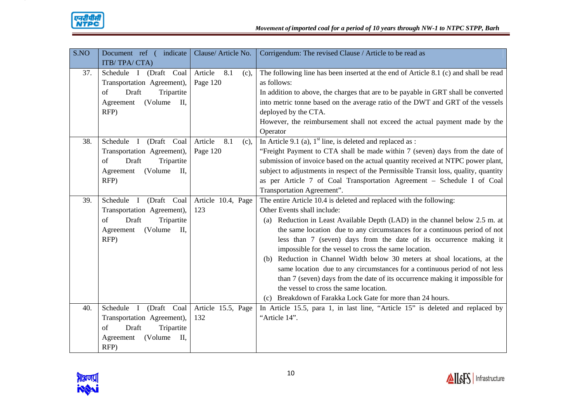

| S.NO | Document ref (indicate                  | Clause/ Article No.    | Corrigendum: The revised Clause / Article to be read as                              |
|------|-----------------------------------------|------------------------|--------------------------------------------------------------------------------------|
|      | ITB/TPA/CTA)                            |                        |                                                                                      |
| 37.  | (Draft Coal<br>Schedule I               | Article<br>8.1<br>(c), | The following line has been inserted at the end of Article 8.1 (c) and shall be read |
|      | Transportation Agreement),              | Page 120               | as follows:                                                                          |
|      | Draft<br>Tripartite<br>of               |                        | In addition to above, the charges that are to be payable in GRT shall be converted   |
|      | (Volume)<br>П,<br>Agreement             |                        | into metric tonne based on the average ratio of the DWT and GRT of the vessels       |
|      | RFP)                                    |                        | deployed by the CTA.                                                                 |
|      |                                         |                        | However, the reimbursement shall not exceed the actual payment made by the           |
|      |                                         |                        | Operator                                                                             |
| 38.  | Schedule I (Draft Coal                  | Article<br>8.1<br>(c), | In Article 9.1 (a), $1st$ line, is deleted and replaced as :                         |
|      | Transportation Agreement),              | Page 120               | "Freight Payment to CTA shall be made within 7 (seven) days from the date of         |
|      | Draft<br>Tripartite<br>of               |                        | submission of invoice based on the actual quantity received at NTPC power plant,     |
|      | (Volume)<br>П,<br>Agreement             |                        | subject to adjustments in respect of the Permissible Transit loss, quality, quantity |
|      | RFP)                                    |                        | as per Article 7 of Coal Transportation Agreement - Schedule I of Coal               |
|      |                                         |                        | Transportation Agreement".                                                           |
| 39.  | Schedule I (Draft Coal                  | Article 10.4, Page     | The entire Article 10.4 is deleted and replaced with the following:                  |
|      | Transportation Agreement),              | 123                    | Other Events shall include:                                                          |
|      | Draft<br>Tripartite<br>of               |                        | (a) Reduction in Least Available Depth (LAD) in the channel below 2.5 m. at          |
|      | (Volume)<br>$\mathbf{II}$<br>Agreement  |                        | the same location due to any circumstances for a continuous period of not            |
|      | RFP)                                    |                        | less than 7 (seven) days from the date of its occurrence making it                   |
|      |                                         |                        | impossible for the vessel to cross the same location.                                |
|      |                                         |                        | (b) Reduction in Channel Width below 30 meters at shoal locations, at the            |
|      |                                         |                        | same location due to any circumstances for a continuous period of not less           |
|      |                                         |                        | than 7 (seven) days from the date of its occurrence making it impossible for         |
|      |                                         |                        | the vessel to cross the same location.                                               |
|      |                                         |                        | (c) Breakdown of Farakka Lock Gate for more than 24 hours.                           |
| 40.  | Schedule<br>(Draft Coal<br>$\mathbf{I}$ | Article 15.5, Page     | In Article 15.5, para 1, in last line, "Article 15" is deleted and replaced by       |
|      | Transportation Agreement),              | 132                    | "Article 14".                                                                        |
|      | Draft<br>of<br>Tripartite               |                        |                                                                                      |
|      | (Volume)<br>П.<br>Agreement             |                        |                                                                                      |
|      | RFP)                                    |                        |                                                                                      |

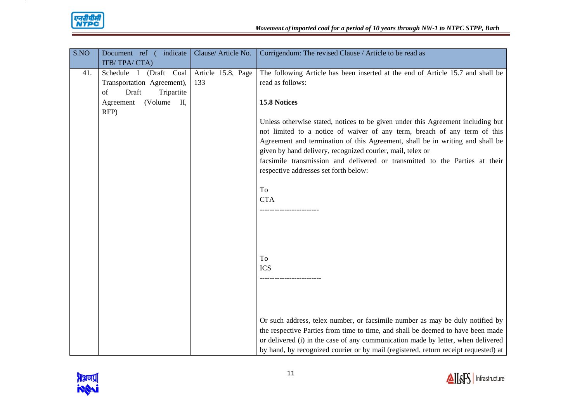

| S.NO | Document ref (indicate      | Clause/Article No. | Corrigendum: The revised Clause / Article to be read as                                                                                   |
|------|-----------------------------|--------------------|-------------------------------------------------------------------------------------------------------------------------------------------|
|      | ITB/TPA/CTA)                |                    |                                                                                                                                           |
| 41.  | (Draft Coal<br>Schedule I   | Article 15.8, Page | The following Article has been inserted at the end of Article 15.7 and shall be                                                           |
|      | Transportation Agreement),  | 133                | read as follows:                                                                                                                          |
|      | Draft<br>Tripartite<br>of   |                    |                                                                                                                                           |
|      | (Volume)<br>П,<br>Agreement |                    | <b>15.8 Notices</b>                                                                                                                       |
|      | RFP)                        |                    |                                                                                                                                           |
|      |                             |                    | Unless otherwise stated, notices to be given under this Agreement including but                                                           |
|      |                             |                    | not limited to a notice of waiver of any term, breach of any term of this                                                                 |
|      |                             |                    | Agreement and termination of this Agreement, shall be in writing and shall be                                                             |
|      |                             |                    | given by hand delivery, recognized courier, mail, telex or<br>facsimile transmission and delivered or transmitted to the Parties at their |
|      |                             |                    | respective addresses set forth below:                                                                                                     |
|      |                             |                    |                                                                                                                                           |
|      |                             |                    | To                                                                                                                                        |
|      |                             |                    | <b>CTA</b>                                                                                                                                |
|      |                             |                    |                                                                                                                                           |
|      |                             |                    |                                                                                                                                           |
|      |                             |                    |                                                                                                                                           |
|      |                             |                    |                                                                                                                                           |
|      |                             |                    |                                                                                                                                           |
|      |                             |                    | To                                                                                                                                        |
|      |                             |                    | <b>ICS</b>                                                                                                                                |
|      |                             |                    |                                                                                                                                           |
|      |                             |                    |                                                                                                                                           |
|      |                             |                    |                                                                                                                                           |
|      |                             |                    |                                                                                                                                           |
|      |                             |                    | Or such address, telex number, or facsimile number as may be duly notified by                                                             |
|      |                             |                    | the respective Parties from time to time, and shall be deemed to have been made                                                           |
|      |                             |                    | or delivered (i) in the case of any communication made by letter, when delivered                                                          |
|      |                             |                    | by hand, by recognized courier or by mail (registered, return receipt requested) at                                                       |

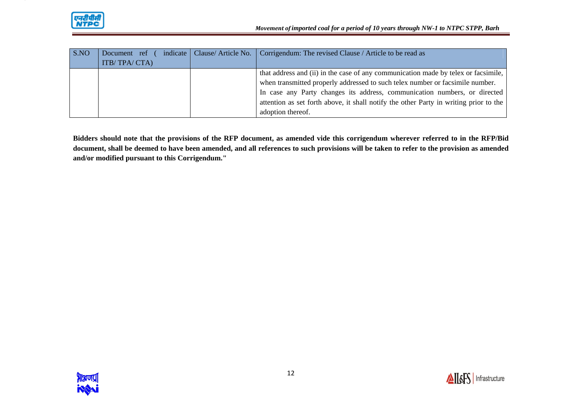

| S.NO | Document ref | indicate   Clause/ Article No. | Corrigendum: The revised Clause / Article to be read as                               |
|------|--------------|--------------------------------|---------------------------------------------------------------------------------------|
|      | ITB/TPA/CTA) |                                |                                                                                       |
|      |              |                                | that address and (ii) in the case of any communication made by telex or facsimile,    |
|      |              |                                | when transmitted properly addressed to such telex number or facsimile number.         |
|      |              |                                | In case any Party changes its address, communication numbers, or directed             |
|      |              |                                | attention as set forth above, it shall notify the other Party in writing prior to the |
|      |              |                                | adoption thereof.                                                                     |

**Bidders should note that the provisions of the RFP document, as amended vide this corrigendum wherever referred to in the RFP/Bid document, shall be deemed to have been amended, and all references to such provisions will be taken to refer to the provision as amended and/or modified pursuant to this Corrigendum."** 

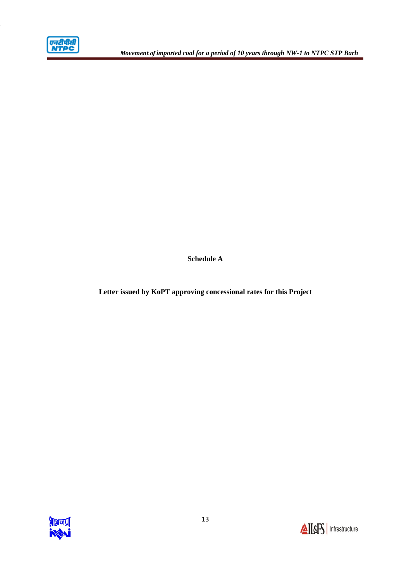

**Schedule A** 

**Letter issued by KoPT approving concessional rates for this Project**

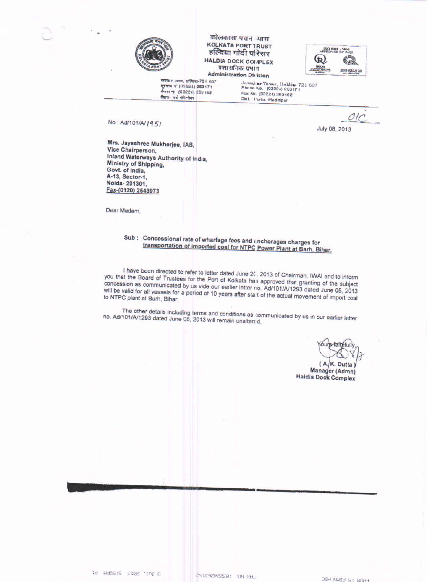

कोलकाता पत्तन आस **KOLKATA PORT 1RUST** हल्दिया गोदी परिसर **HALDIA DOCK COMPLEX** प्रशासनिक प्रभाग **Administration Division** 



जयाद्य समय, प्रतिद्या-721 607 पुरमाथ नं (03224) 283171 APTI + (03224) 263 152 जिला- यह मेडिनीकर

Jawal ar Tower, Haldia- 721 607 Phone No. (03224) 263171 Fax No. (03224) 283162 Dist. Furba Medinipur

No: Ad/101/A/1951

Mrs. Jayashree Mukherjee, IAS, Vice Chairperson, Inland Waterways Authority of India, Ministry of Shipping, Govt. of India, A-13, Sector-1, Noida-201301, Fax-(0120) 2543973

Dear Madam,

Sub : Concessional rate of wharfage fees and anchorages charges for transportation of imported coal for NTPC Power Plant at Barh, Bihar.

I have been directed to refer to letter dated June 20, 2013 of Chairman, IWAI and to inform you that the Board of Trustees for the Port of Kolkata has approved that granting of the subject concession as communicated by us vide our earlier letter no. Ad/101/A/1293 dated June 05, 2013 will be valid for all vessels for a period of 10 years after start of the actual movement of import coal to NTPC plant at Barh, Bihar.

 $O/C$ 

July 08, 2013

The other details including terms and conditions as communicated by us in our earlier letter no. Ad/101/A/1293 dated June 05, 2013 will remain unaltered.

Yours-faithfully

(A.K. Dutta) Manager (Admn) **Haldia Dock Complex** 

G Jul. 2013 SiSSHM P1

ESTESEDEEER: "ON XB .:

**FROM : M ADM HDG**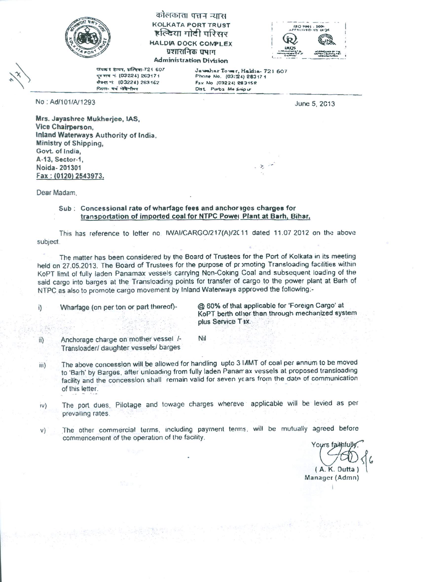

## कोलकाता पत्तन न्यास **KOLKATA PORT TRUST** हत्टिया गोटी परिसर HALDIA DOCK COMPLEX प्रशासनिक प्रभाग **Administration Division**



जयक्र श टायष, धन्यिका-721 607 द्गमाय नं. (03224) 263171 गैक्स भं (03224) 263162 प्रिता- पर्व भेषि-तिवर

No: Ad/101/A/1293

Jawahar Tower, Haldia-721 607<br>Phone No. (03:24) 283171 Fax No (03224) 283152 Dist. Purba Me Smipur

June 5, 2013

Mrs. Jayashree Mukherjee, IAS. Vice Chairperson. Inland Waterways Authority of India. Ministry of Shipping, Govt. of India, A-13, Sector-1. Noida-201301 Fax: (0120) 2543973.

Dear Madam.

#### Sub: Concessional rate of wharfage fees and anchorages charges for transportation of imported coal for NTPC Power Plant at Barh, Bihar,

This has reference to letter no. IWAI/CARGO/217(A)/2C11 dated 11.07 2012 on the above subject.

The matter has been considered by the Board of Trustees for the Port of Kolkata in its meeting held on 27.05.2013. The Board of Trustees for the purpose of promoting Transloading facilities within KoPT limit of fully laden Panamax vessels carrying Non-Coking Coal and subsequent loading of the said cargo into barges at the Transloading points for transfer of cargo to the power plant at Barh of NTPC as also to promote cargo movement by Inland Waterways approved the following:-

Wharfage (on per ton or part thereof)i)

@ 60% of that applicable for 'Foreign Cargo' at KoPT berth other than through mechanized system plus Service Tax

Anchorage charge on mother vessel /ii) Transloader/ daughter vessels/ barges

The above concession will be allowed for handling upto 3 IAMT of coal per annum to be moved iii) to 'Barh' by Barges, after unloading from fully laden Panamax vessels at proposed transloading facility and the concession shall remain valid for seven years from the date of communication of this letter.

Nil

- The port dues. Pilotage and towage charges whereve applicable will be levied as per  $iv)$ prevailing rates.
- The other commercial terms, including payment terms, will be mutually agreed before  $V)$ commencement of the operation of the facility.

Yours faithfull  $(A. K. Outta)$ Manager (Admn)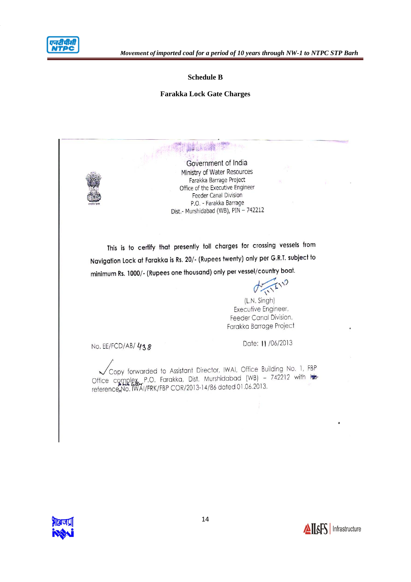

#### **Schedule B**

#### **Farakka Lock Gate Charges**



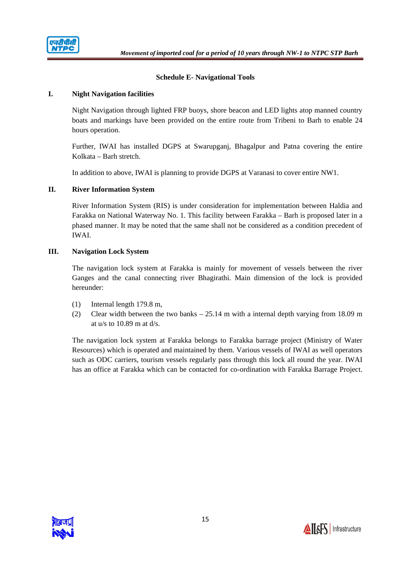

## **Schedule E- Navigational Tools**

#### **I. Night Navigation facilities**

Night Navigation through lighted FRP buoys, shore beacon and LED lights atop manned country boats and markings have been provided on the entire route from Tribeni to Barh to enable 24 hours operation.

Further, IWAI has installed DGPS at Swarupganj, Bhagalpur and Patna covering the entire Kolkata – Barh stretch.

In addition to above, IWAI is planning to provide DGPS at Varanasi to cover entire NW1.

## **II. River Information System**

River Information System (RIS) is under consideration for implementation between Haldia and Farakka on National Waterway No. 1. This facility between Farakka – Barh is proposed later in a phased manner. It may be noted that the same shall not be considered as a condition precedent of IWAI.

## **III. Navigation Lock System**

The navigation lock system at Farakka is mainly for movement of vessels between the river Ganges and the canal connecting river Bhagirathi. Main dimension of the lock is provided hereunder:

- (1) Internal length 179.8 m,
- (2) Clear width between the two banks 25.14 m with a internal depth varying from 18.09 m at  $u/s$  to 10.89 m at  $d/s$ .

The navigation lock system at Farakka belongs to Farakka barrage project (Ministry of Water Resources) which is operated and maintained by them. Various vessels of IWAI as well operators such as ODC carriers, tourism vessels regularly pass through this lock all round the year. IWAI has an office at Farakka which can be contacted for co-ordination with Farakka Barrage Project.

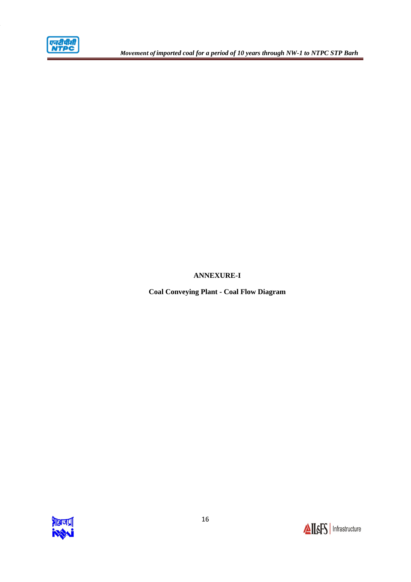

# **ANNEXURE-I**

**Coal Conveying Plant - Coal Flow Diagram**